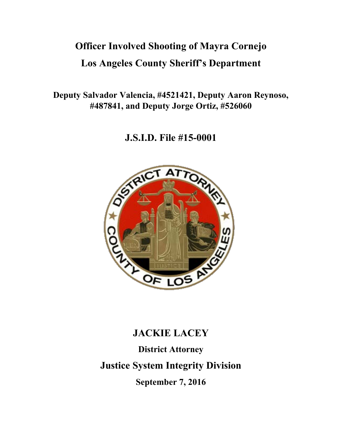# **Officer Involved Shooting of Mayra Cornejo Los Angeles County Sheriff's Department**

**Deputy Salvador Valencia, #4521421, Deputy Aaron Reynoso, #487841, and Deputy Jorge Ortiz, #526060** 

**J.S.I.D. File #15-0001** 



# **JACKIE LACEY**

**District Attorney Justice System Integrity Division September 7, 2016**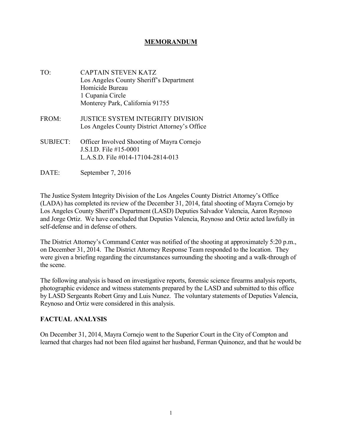#### **MEMORANDUM**

- TO: CAPTAIN STEVEN KATZ Los Angeles County Sheriff's Department Homicide Bureau 1 Cupania Circle Monterey Park, California 91755
- FROM: JUSTICE SYSTEM INTEGRITY DIVISION Los Angeles County District Attorney's Office
- SUBJECT: Officer Involved Shooting of Mayra Cornejo J.S.I.D. File #15-0001 L.A.S.D. File #014-17104-2814-013
- DATE: September 7, 2016

The Justice System Integrity Division of the Los Angeles County District Attorney's Office (LADA) has completed its review of the December 31, 2014, fatal shooting of Mayra Cornejo by Los Angeles County Sheriff's Department (LASD) Deputies Salvador Valencia, Aaron Reynoso and Jorge Ortiz. We have concluded that Deputies Valencia, Reynoso and Ortiz acted lawfully in self-defense and in defense of others.

The District Attorney's Command Center was notified of the shooting at approximately 5:20 p.m., on December 31, 2014. The District Attorney Response Team responded to the location. They were given a briefing regarding the circumstances surrounding the shooting and a walk-through of the scene.

The following analysis is based on investigative reports, forensic science firearms analysis reports, photographic evidence and witness statements prepared by the LASD and submitted to this office by LASD Sergeants Robert Gray and Luis Nunez. The voluntary statements of Deputies Valencia, Reynoso and Ortiz were considered in this analysis.

#### **FACTUAL ANALYSIS**

On December 31, 2014, Mayra Cornejo went to the Superior Court in the City of Compton and learned that charges had not been filed against her husband, Ferman Quinonez, and that he would be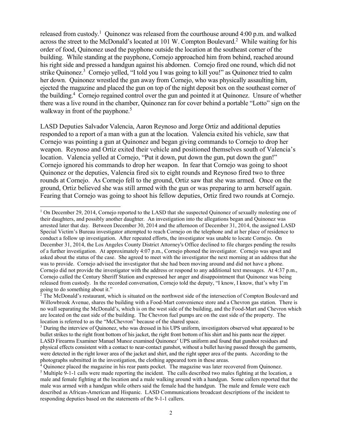released from custody.<sup>1</sup> Quinonez was released from the courthouse around  $4:00$  p.m. and walked across the street to the McDonald's located at 101 W. Compton Boulevard.<sup>2</sup> While waiting for his order of food, Quinonez used the payphone outside the location at the southeast corner of the building. While standing at the payphone, Cornejo approached him from behind, reached around his right side and pressed a handgun against his abdomen. Cornejo fired one round, which did not strike Quinonez.<sup>3</sup> Cornejo yelled, "I told you I was going to kill you!" as Quinonez tried to calm her down. Quinonez wrestled the gun away from Cornejo, who was physically assaulting him, ejected the magazine and placed the gun on top of the night deposit box on the southeast corner of the building.<sup>4</sup> Cornejo regained control over the gun and pointed it at Quinonez. Unsure of whether there was a live round in the chamber, Quinonez ran for cover behind a portable "Lotto" sign on the walkway in front of the payphone.<sup>5</sup>

LASD Deputies Salvador Valencia, Aaron Reynoso and Jorge Ortiz and additional deputies responded to a report of a man with a gun at the location. Valencia exited his vehicle, saw that Cornejo was pointing a gun at Quinonez and began giving commands to Cornejo to drop her weapon. Reynoso and Ortiz exited their vehicle and positioned themselves south of Valencia's location. Valencia yelled at Cornejo, "Put it down, put down the gun, put down the gun!" Cornejo ignored his commands to drop her weapon. In fear that Cornejo was going to shoot Quinonez or the deputies, Valencia fired six to eight rounds and Reynoso fired two to three rounds at Cornejo. As Cornejo fell to the ground, Ortiz saw that she was armed. Once on the ground, Ortiz believed she was still armed with the gun or was preparing to arm herself again. Fearing that Cornejo was going to shoot his fellow deputies, Ortiz fired two rounds at Cornejo.

<sup>&</sup>lt;sup>1</sup> On December 29, 2014, Cornejo reported to the LASD that she suspected Quinonez of sexually molesting one of their daughters, and possibly another daughter. An investigation into the allegations began and Quinonez was arrested later that day. Between December 30, 2014 and the afternoon of December 31, 2014, the assigned LASD Special Victim's Bureau investigator attempted to reach Cornejo on the telephone and at her place of residence to conduct a follow up investigation. After repeated efforts, the investigator was unable to locate Cornejo. On December 31, 2014, the Los Angeles County District Attorney's Office declined to file charges pending the results of a further investigation. At approximately 4:07 p.m., Cornejo phoned the investigator. Cornejo was upset and asked about the status of the case. She agreed to meet with the investigator the next morning at an address that she was to provide. Cornejo advised the investigator that she had been moving around and did not have a phone. Cornejo did not provide the investigator with the address or respond to any additional text messages. At 4:37 p.m., Cornejo called the Century Sheriff Station and expressed her anger and disappointment that Quinonez was being released from custody. In the recorded conversation, Cornejo told the deputy, "I know, I know, that's why I'm going to do something about it."

<sup>&</sup>lt;sup>2</sup> The McDonald's restaurant, which is situated on the northwest side of the intersection of Compton Boulevard and Willowbrook Avenue, shares the building with a Food-Mart convenience store and a Chevron gas station. There is no wall separating the McDonald's, which is on the west side of the building, and the Food-Mart and Chevron which are located on the east side of the building. The Chevron fuel pumps are on the east side of the property. The location is referred to as the "McChevron" because of the shared space.

<sup>&</sup>lt;sup>3</sup> During the interview of Quinonez, who was dressed in his UPS uniform, investigators observed what appeared to be bullet strikes to the right front bottom of his jacket, the right front bottom of his shirt and his pants near the zipper. LASD Firearms Examiner Manuel Munoz examined Quinonez' UPS uniform and found that gunshot residues and physical effects consistent with a contact to near-contact gunshot, without a bullet having passed through the garments, were detected in the right lower area of the jacket and shirt, and the right upper area of the pants. According to the photographs submitted in the investigation, the clothing appeared torn in these areas.

<sup>&</sup>lt;sup>4</sup> Quinonez placed the magazine in his rear pants pocket. The magazine was later recovered from Quinonez. <sup>5</sup> Multiple 9-1-1 calls were made reporting the incident. The calls described two males fighting at the location, a male and female fighting at the location and a male walking around with a handgun. Some callers reported that the male was armed with a handgun while others said the female had the handgun. The male and female were each described as African-American and Hispanic. LASD Communications broadcast descriptions of the incident to responding deputies based on the statements of the 9-1-1 callers.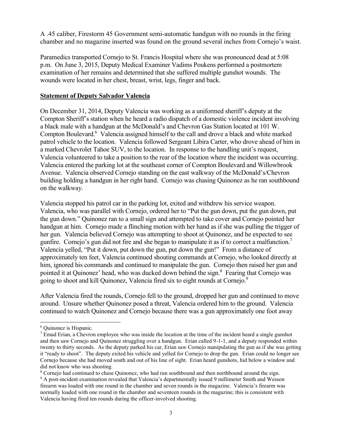A .45 caliber, Firestorm 45 Government semi-automatic handgun with no rounds in the firing chamber and no magazine inserted was found on the ground several inches from Cornejo's waist.

Paramedics transported Cornejo to St. Francis Hospital where she was pronounced dead at 5:08 p.m. On June 3, 2015, Deputy Medical Examiner Vadims Poukens performed a postmortem examination of her remains and determined that she suffered multiple gunshot wounds. The wounds were located in her chest, breast, wrist, legs, finger and back.

#### **Statement of Deputy Salvador Valencia**

On December 31, 2014, Deputy Valencia was working as a uniformed sheriff's deputy at the Compton Sheriff's station when he heard a radio dispatch of a domestic violence incident involving a black male with a handgun at the McDonald's and Chevron Gas Station located at 101 W. Compton Boulevard.<sup>6</sup> Valencia assigned himself to the call and drove a black and white marked patrol vehicle to the location. Valencia followed Sergeant Libira Carter, who drove ahead of him in a marked Chevrolet Tahoe SUV, to the location. In response to the handling unit's request, Valencia volunteered to take a position to the rear of the location where the incident was occurring. Valencia entered the parking lot at the southeast corner of Compton Boulevard and Willowbrook Avenue. Valencia observed Cornejo standing on the east walkway of the McDonald's/Chevron building holding a handgun in her right hand. Cornejo was chasing Quinonez as he ran southbound on the walkway.

Valencia stopped his patrol car in the parking lot, exited and withdrew his service weapon. Valencia, who was parallel with Cornejo, ordered her to "Put the gun down, put the gun down, put the gun down." Quinonez ran to a small sign and attempted to take cover and Cornejo pointed her handgun at him. Cornejo made a flinching motion with her hand as if she was pulling the trigger of her gun. Valencia believed Cornejo was attempting to shoot at Quinonez, and he expected to see gunfire. Cornejo's gun did not fire and she began to manipulate it as if to correct a malfunction.<sup>7</sup> Valencia yelled, "Put it down, put down the gun, put down the gun!" From a distance of approximately ten feet, Valencia continued shouting commands at Cornejo, who looked directly at him, ignored his commands and continued to manipulate the gun. Cornejo then raised her gun and pointed it at Quinonez' head, who was ducked down behind the sign.<sup>8</sup> Fearing that Cornejo was going to shoot and kill Quinonez, Valencia fired six to eight rounds at Cornejo.<sup>9</sup>

After Valencia fired the rounds, Cornejo fell to the ground, dropped her gun and continued to move around. Unsure whether Quinonez posed a threat, Valencia ordered him to the ground. Valencia continued to watch Quinonez and Cornejo because there was a gun approximately one foot away

 $\overline{a}$ 6 Quinonez is Hispanic.

 $<sup>7</sup>$  Emad Erian, a Chevron employee who was inside the location at the time of the incident heard a single gunshot</sup> and then saw Cornejo and Quinonez struggling over a handgun. Erian called 9-1-1, and a deputy responded within twenty to thirty seconds. As the deputy parked his car, Erian saw Cornejo manipulating the gun as if she was getting it "ready to shoot". The deputy exited his vehicle and yelled for Cornejo to drop the gun. Erian could no longer see Cornejo because she had moved south and out of his line of sight. Erian heard gunshots, hid below a window and did not know who was shooting.

<sup>&</sup>lt;sup>8</sup> Cornejo had continued to chase Quinonez, who had run southbound and then northbound around the sign.

<sup>&</sup>lt;sup>9</sup> A post-incident examination revealed that Valencia's departmentally issued 9 millimeter Smith and Wesson firearm was loaded with one round in the chamber and seven rounds in the magazine. Valencia's firearm was normally loaded with one round in the chamber and seventeen rounds in the magazine; this is consistent with Valencia having fired ten rounds during the officer-involved shooting.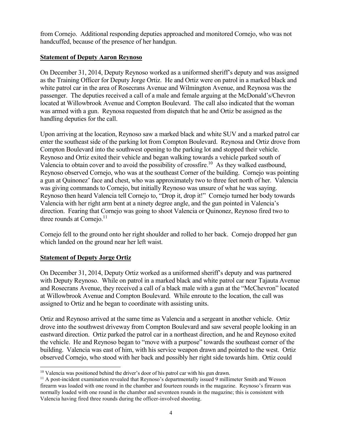from Cornejo. Additional responding deputies approached and monitored Cornejo, who was not handcuffed, because of the presence of her handgun.

#### **Statement of Deputy Aaron Reynoso**

On December 31, 2014, Deputy Reynoso worked as a uniformed sheriff's deputy and was assigned as the Training Officer for Deputy Jorge Ortiz. He and Ortiz were on patrol in a marked black and white patrol car in the area of Rosecrans Avenue and Wilmington Avenue, and Reynosa was the passenger. The deputies received a call of a male and female arguing at the McDonald's/Chevron located at Willowbrook Avenue and Compton Boulevard. The call also indicated that the woman was armed with a gun. Reynosa requested from dispatch that he and Ortiz be assigned as the handling deputies for the call.

Upon arriving at the location, Reynoso saw a marked black and white SUV and a marked patrol car enter the southeast side of the parking lot from Compton Boulevard. Reynosa and Ortiz drove from Compton Boulevard into the southwest opening to the parking lot and stopped their vehicle. Reynoso and Ortiz exited their vehicle and began walking towards a vehicle parked south of Valencia to obtain cover and to avoid the possibility of crossfire.<sup>10</sup> As they walked eastbound, Reynoso observed Cornejo, who was at the southeast Corner of the building. Cornejo was pointing a gun at Quinonez' face and chest, who was approximately two to three feet north of her. Valencia was giving commands to Cornejo, but initially Reynoso was unsure of what he was saying. Reynoso then heard Valencia tell Cornejo to, "Drop it, drop it!" Cornejo turned her body towards Valencia with her right arm bent at a ninety degree angle, and the gun pointed in Valencia's direction. Fearing that Cornejo was going to shoot Valencia or Quinonez, Reynoso fired two to three rounds at Cornejo. $11$ 

Cornejo fell to the ground onto her right shoulder and rolled to her back. Cornejo dropped her gun which landed on the ground near her left waist.

### **Statement of Deputy Jorge Ortiz**

On December 31, 2014, Deputy Ortiz worked as a uniformed sheriff's deputy and was partnered with Deputy Reynoso. While on patrol in a marked black and white patrol car near Tajauta Avenue and Rosecrans Avenue, they received a call of a black male with a gun at the "McChevron" located at Willowbrook Avenue and Compton Boulevard. While enroute to the location, the call was assigned to Ortiz and he began to coordinate with assisting units.

Ortiz and Reynoso arrived at the same time as Valencia and a sergeant in another vehicle. Ortiz drove into the southwest driveway from Compton Boulevard and saw several people looking in an eastward direction. Ortiz parked the patrol car in a northeast direction, and he and Reynoso exited the vehicle. He and Reynoso began to "move with a purpose" towards the southeast corner of the building. Valencia was east of him, with his service weapon drawn and pointed to the west. Ortiz observed Cornejo, who stood with her back and possibly her right side towards him. Ortiz could

 $\overline{a}$ <sup>10</sup> Valencia was positioned behind the driver's door of his patrol car with his gun drawn.

<sup>&</sup>lt;sup>11</sup> A post-incident examination revealed that Reynoso's departmentally issued 9 millimeter Smith and Wesson firearm was loaded with one round in the chamber and fourteen rounds in the magazine. Reynoso's firearm was normally loaded with one round in the chamber and seventeen rounds in the magazine; this is consistent with Valencia having fired three rounds during the officer-involved shooting.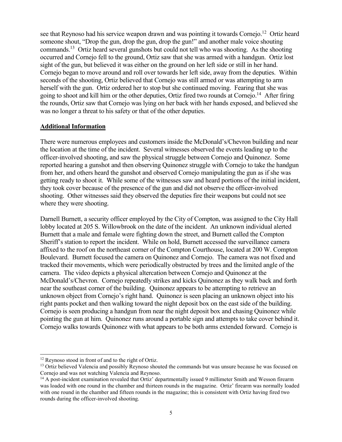see that Reynoso had his service weapon drawn and was pointing it towards Cornejo.<sup>12</sup> Ortiz heard someone shout, "Drop the gun, drop the gun, drop the gun!" and another male voice shouting commands.<sup>13</sup> Ortiz heard several gunshots but could not tell who was shooting. As the shooting occurred and Cornejo fell to the ground, Ortiz saw that she was armed with a handgun. Ortiz lost sight of the gun, but believed it was either on the ground on her left side or still in her hand. Cornejo began to move around and roll over towards her left side, away from the deputies. Within seconds of the shooting, Ortiz believed that Cornejo was still armed or was attempting to arm herself with the gun. Ortiz ordered her to stop but she continued moving. Fearing that she was going to shoot and kill him or the other deputies, Ortiz fired two rounds at Cornejo.<sup>14</sup> After firing the rounds, Ortiz saw that Cornejo was lying on her back with her hands exposed, and believed she was no longer a threat to his safety or that of the other deputies.

#### **Additional Information**

There were numerous employees and customers inside the McDonald's/Chevron building and near the location at the time of the incident. Several witnesses observed the events leading up to the officer-involved shooting, and saw the physical struggle between Cornejo and Quinonez. Some reported hearing a gunshot and then observing Quinonez struggle with Cornejo to take the handgun from her, and others heard the gunshot and observed Cornejo manipulating the gun as if she was getting ready to shoot it. While some of the witnesses saw and heard portions of the initial incident, they took cover because of the presence of the gun and did not observe the officer-involved shooting. Other witnesses said they observed the deputies fire their weapons but could not see where they were shooting.

Darnell Burnett, a security officer employed by the City of Compton, was assigned to the City Hall lobby located at 205 S. Willowbrook on the date of the incident. An unknown individual alerted Burnett that a male and female were fighting down the street, and Burnett called the Compton Sheriff's station to report the incident. While on hold, Burnett accessed the surveillance camera affixed to the roof on the northeast corner of the Compton Courthouse, located at 200 W. Compton Boulevard. Burnett focused the camera on Quinonez and Cornejo. The camera was not fixed and tracked their movements, which were periodically obstructed by trees and the limited angle of the camera. The video depicts a physical altercation between Cornejo and Quinonez at the McDonald's/Chevron. Cornejo repeatedly strikes and kicks Quinonez as they walk back and forth near the southeast corner of the building. Quinonez appears to be attempting to retrieve an unknown object from Cornejo's right hand. Quinonez is seen placing an unknown object into his right pants pocket and then walking toward the night deposit box on the east side of the building. Cornejo is seen producing a handgun from near the night deposit box and chasing Quinonez while pointing the gun at him. Quinonez runs around a portable sign and attempts to take cover behind it. Cornejo walks towards Quinonez with what appears to be both arms extended forward. Cornejo is

 $\overline{a}$ 

<sup>&</sup>lt;sup>12</sup> Reynoso stood in front of and to the right of Ortiz.

<sup>&</sup>lt;sup>13</sup> Ortiz believed Valencia and possibly Reynoso shouted the commands but was unsure because he was focused on Cornejo and was not watching Valencia and Reynoso.

<sup>&</sup>lt;sup>14</sup> A post-incident examination revealed that Ortiz' departmentally issued 9 millimeter Smith and Wesson firearm was loaded with one round in the chamber and thirteen rounds in the magazine. Ortiz' firearm was normally loaded with one round in the chamber and fifteen rounds in the magazine; this is consistent with Ortiz having fired two rounds during the officer-involved shooting.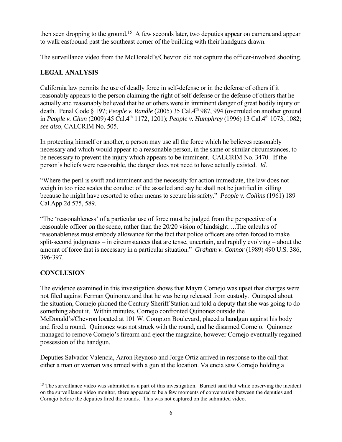then seen dropping to the ground.<sup>15</sup> A few seconds later, two deputies appear on camera and appear to walk eastbound past the southeast corner of the building with their handguns drawn.

The surveillance video from the McDonald's/Chevron did not capture the officer-involved shooting.

## **LEGAL ANALYSIS**

California law permits the use of deadly force in self-defense or in the defense of others if it reasonably appears to the person claiming the right of self-defense or the defense of others that he actually and reasonably believed that he or others were in imminent danger of great bodily injury or death. Penal Code § 197; *People v. Randle* (2005) 35 Cal.4th 987, 994 (overruled on another ground in *People v. Chun* (2009) 45 Cal.4<sup>th</sup> 1172, 1201); *People v. Humphrey* (1996) 13 Cal.4<sup>th</sup> 1073, 1082; *see also,* CALCRIM No. 505.

In protecting himself or another, a person may use all the force which he believes reasonably necessary and which would appear to a reasonable person, in the same or similar circumstances, to be necessary to prevent the injury which appears to be imminent. CALCRIM No. 3470. If the person's beliefs were reasonable, the danger does not need to have actually existed. *Id.* 

"Where the peril is swift and imminent and the necessity for action immediate, the law does not weigh in too nice scales the conduct of the assailed and say he shall not be justified in killing because he might have resorted to other means to secure his safety." *People v. Collins* (1961) 189 Cal.App.2d 575, 589.

"The 'reasonableness' of a particular use of force must be judged from the perspective of a reasonable officer on the scene, rather than the 20/20 vision of hindsight….The calculus of reasonableness must embody allowance for the fact that police officers are often forced to make split-second judgments – in circumstances that are tense, uncertain, and rapidly evolving – about the amount of force that is necessary in a particular situation." *Graham v. Connor* (1989) 490 U.S. 386, 396-397.

# **CONCLUSION**

The evidence examined in this investigation shows that Mayra Cornejo was upset that charges were not filed against Ferman Quinonez and that he was being released from custody. Outraged about the situation, Cornejo phoned the Century Sheriff Station and told a deputy that she was going to do something about it. Within minutes, Cornejo confronted Quinonez outside the McDonald's/Chevron located at 101 W. Compton Boulevard, placed a handgun against his body and fired a round. Quinonez was not struck with the round, and he disarmed Cornejo. Quinonez managed to remove Cornejo's firearm and eject the magazine, however Cornejo eventually regained possession of the handgun.

Deputies Salvador Valencia, Aaron Reynoso and Jorge Ortiz arrived in response to the call that either a man or woman was armed with a gun at the location. Valencia saw Cornejo holding a

 $\overline{a}$  $15$  The surveillance video was submitted as a part of this investigation. Burnett said that while observing the incident on the surveillance video monitor, there appeared to be a few moments of conversation between the deputies and Cornejo before the deputies fired the rounds. This was not captured on the submitted video.